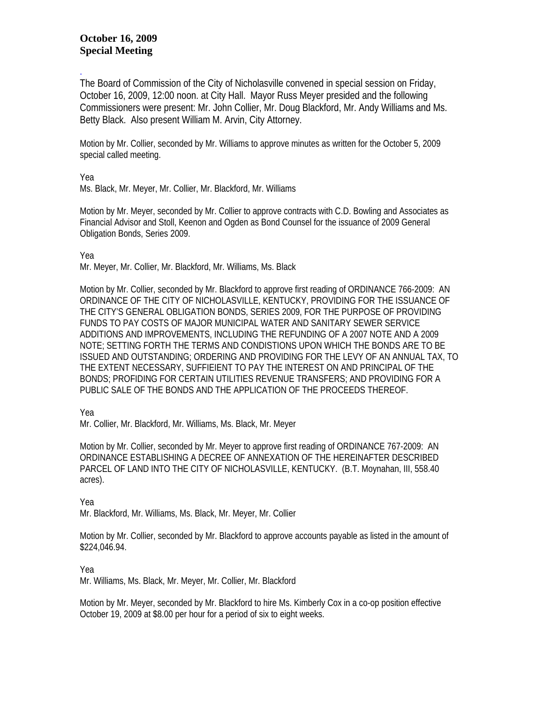## **October 16, 2009 Special Meeting**

. The Board of Commission of the City of Nicholasville convened in special session on Friday, October 16, 2009, 12:00 noon. at City Hall. Mayor Russ Meyer presided and the following Commissioners were present: Mr. John Collier, Mr. Doug Blackford, Mr. Andy Williams and Ms. Betty Black. Also present William M. Arvin, City Attorney.

Motion by Mr. Collier, seconded by Mr. Williams to approve minutes as written for the October 5, 2009 special called meeting.

Yea

Ms. Black, Mr. Meyer, Mr. Collier, Mr. Blackford, Mr. Williams

Motion by Mr. Meyer, seconded by Mr. Collier to approve contracts with C.D. Bowling and Associates as Financial Advisor and Stoll, Keenon and Ogden as Bond Counsel for the issuance of 2009 General Obligation Bonds, Series 2009.

Yea Mr. Meyer, Mr. Collier, Mr. Blackford, Mr. Williams, Ms. Black

Motion by Mr. Collier, seconded by Mr. Blackford to approve first reading of ORDINANCE 766-2009: AN ORDINANCE OF THE CITY OF NICHOLASVILLE, KENTUCKY, PROVIDING FOR THE ISSUANCE OF THE CITY'S GENERAL OBLIGATION BONDS, SERIES 2009, FOR THE PURPOSE OF PROVIDING FUNDS TO PAY COSTS OF MAJOR MUNICIPAL WATER AND SANITARY SEWER SERVICE ADDITIONS AND IMPROVEMENTS, INCLUDING THE REFUNDING OF A 2007 NOTE AND A 2009 NOTE; SETTING FORTH THE TERMS AND CONDISTIONS UPON WHICH THE BONDS ARE TO BE ISSUED AND OUTSTANDING; ORDERING AND PROVIDING FOR THE LEVY OF AN ANNUAL TAX, TO THE EXTENT NECESSARY, SUFFIEIENT TO PAY THE INTEREST ON AND PRINCIPAL OF THE BONDS; PROFIDING FOR CERTAIN UTILITIES REVENUE TRANSFERS; AND PROVIDING FOR A PUBLIC SALE OF THE BONDS AND THE APPLICATION OF THE PROCEEDS THEREOF.

Yea

Mr. Collier, Mr. Blackford, Mr. Williams, Ms. Black, Mr. Meyer

Motion by Mr. Collier, seconded by Mr. Meyer to approve first reading of ORDINANCE 767-2009: AN ORDINANCE ESTABLISHING A DECREE OF ANNEXATION OF THE HEREINAFTER DESCRIBED PARCEL OF LAND INTO THE CITY OF NICHOLASVILLE, KENTUCKY. (B.T. Moynahan, III, 558.40 acres).

Yea Mr. Blackford, Mr. Williams, Ms. Black, Mr. Meyer, Mr. Collier

Motion by Mr. Collier, seconded by Mr. Blackford to approve accounts payable as listed in the amount of \$224,046.94.

Yea

Mr. Williams, Ms. Black, Mr. Meyer, Mr. Collier, Mr. Blackford

Motion by Mr. Meyer, seconded by Mr. Blackford to hire Ms. Kimberly Cox in a co-op position effective October 19, 2009 at \$8.00 per hour for a period of six to eight weeks.